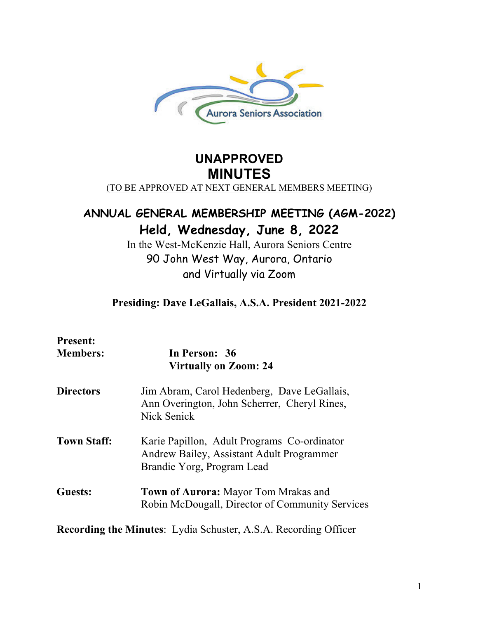

# **UNAPPROVED MINUTES** (TO BE APPROVED AT NEXT GENERAL MEMBERS MEETING)

# **ANNUAL GENERAL MEMBERSHIP MEETING (AGM-2022) Held, Wednesday, June 8, 2022**

In the West-McKenzie Hall, Aurora Seniors Centre 90 John West Way, Aurora, Ontario and Virtually via Zoom

# **Presiding: Dave LeGallais, A.S.A. President 2021-2022**

| <b>Present:</b><br><b>Members:</b>                                     | In Person: 36<br><b>Virtually on Zoom: 24</b>                                                                          |
|------------------------------------------------------------------------|------------------------------------------------------------------------------------------------------------------------|
| <b>Directors</b>                                                       | Jim Abram, Carol Hedenberg, Dave LeGallais,<br>Ann Overington, John Scherrer, Cheryl Rines,<br>Nick Senick             |
| <b>Town Staff:</b>                                                     | Karie Papillon, Adult Programs Co-ordinator<br>Andrew Bailey, Assistant Adult Programmer<br>Brandie Yorg, Program Lead |
| <b>Guests:</b>                                                         | <b>Town of Aurora:</b> Mayor Tom Mrakas and<br>Robin McDougall, Director of Community Services                         |
| <b>Recording the Minutes:</b> Lydia Schuster, A.S.A. Recording Officer |                                                                                                                        |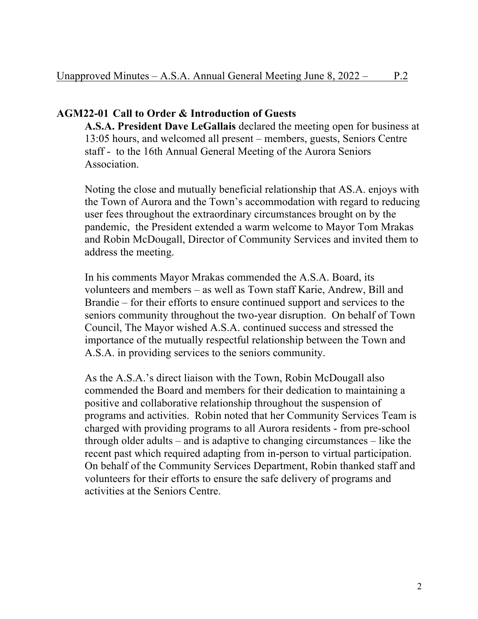# **AGM22-01 Call to Order & Introduction of Guests**

**A.S.A. President Dave LeGallais** declared the meeting open for business at 13:05 hours, and welcomed all present – members, guests, Seniors Centre staff - to the 16th Annual General Meeting of the Aurora Seniors Association.

Noting the close and mutually beneficial relationship that AS.A. enjoys with the Town of Aurora and the Town's accommodation with regard to reducing user fees throughout the extraordinary circumstances brought on by the pandemic, the President extended a warm welcome to Mayor Tom Mrakas and Robin McDougall, Director of Community Services and invited them to address the meeting.

In his comments Mayor Mrakas commended the A.S.A. Board, its volunteers and members – as well as Town staff Karie, Andrew, Bill and Brandie – for their efforts to ensure continued support and services to the seniors community throughout the two-year disruption. On behalf of Town Council, The Mayor wished A.S.A. continued success and stressed the importance of the mutually respectful relationship between the Town and A.S.A. in providing services to the seniors community.

As the A.S.A.'s direct liaison with the Town, Robin McDougall also commended the Board and members for their dedication to maintaining a positive and collaborative relationship throughout the suspension of programs and activities. Robin noted that her Community Services Team is charged with providing programs to all Aurora residents - from pre-school through older adults – and is adaptive to changing circumstances – like the recent past which required adapting from in-person to virtual participation. On behalf of the Community Services Department, Robin thanked staff and volunteers for their efforts to ensure the safe delivery of programs and activities at the Seniors Centre.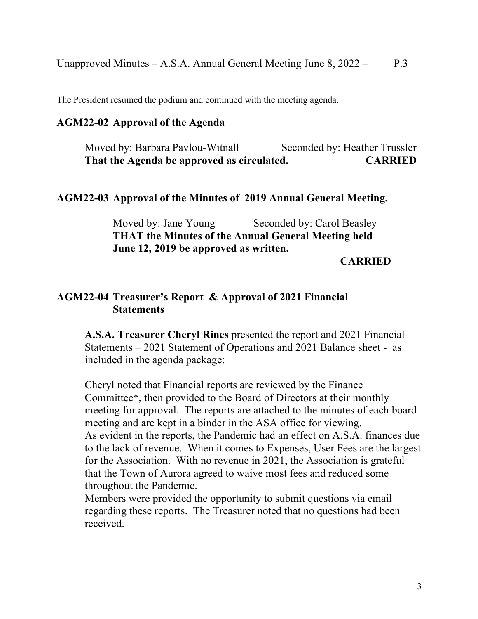The President resumed the podium and continued with the meeting agenda.

# **AGM22-02 Approval of the Agenda**

Moved by: Barbara Pavlou-Witnall Seconded by: Heather Trussler **That the Agenda be approved as circulated. CARRIED**

### **AGM22-03 Approval of the Minutes of 2019 Annual General Meeting.**

Moved by: Jane Young Seconded by: Carol Beasley **THAT the Minutes of the Annual General Meeting held June 12, 2019 be approved as written.**

**CARRIED**

# **AGM22-04 Treasurer's Report & Approval of 2021 Financial Statements**

**A.S.A. Treasurer Cheryl Rines** presented the report and 2021 Financial Statements – 2021 Statement of Operations and 2021 Balance sheet - as included in the agenda package:

Cheryl noted that Financial reports are reviewed by the Finance Committee\*, then provided to the Board of Directors at their monthly meeting for approval. The reports are attached to the minutes of each board meeting and are kept in a binder in the ASA office for viewing. As evident in the reports, the Pandemic had an effect on A.S.A. finances due to the lack of revenue. When it comes to Expenses, User Fees are the largest for the Association. With no revenue in 2021, the Association is grateful that the Town of Aurora agreed to waive most fees and reduced some throughout the Pandemic.

Members were provided the opportunity to submit questions via email regarding these reports. The Treasurer noted that no questions had been received.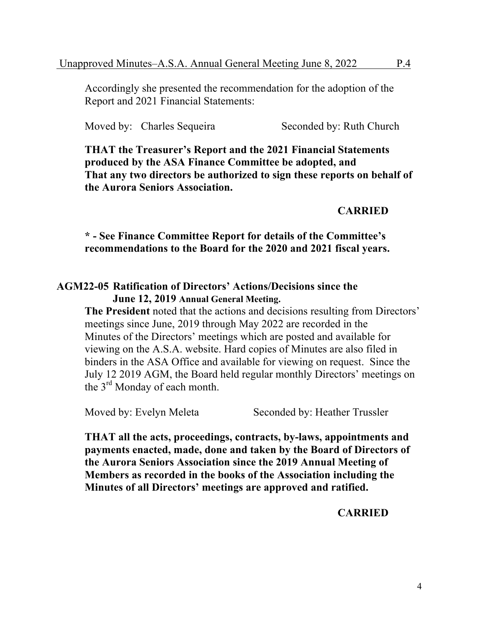Accordingly she presented the recommendation for the adoption of the Report and 2021 Financial Statements:

Moved by: Charles Sequeira Seconded by: Ruth Church

**THAT the Treasurer's Report and the 2021 Financial Statements produced by the ASA Finance Committee be adopted, and That any two directors be authorized to sign these reports on behalf of the Aurora Seniors Association.**

### **CARRIED**

**\* - See Finance Committee Report for details of the Committee's recommendations to the Board for the 2020 and 2021 fiscal years.**

### **AGM22-05 Ratification of Directors' Actions/Decisions since the June 12, 2019 Annual General Meeting.**

**The President** noted that the actions and decisions resulting from Directors' meetings since June, 2019 through May 2022 are recorded in the Minutes of the Directors' meetings which are posted and available for viewing on the A.S.A. website. Hard copies of Minutes are also filed in binders in the ASA Office and available for viewing on request. Since the July 12 2019 AGM, the Board held regular monthly Directors' meetings on the 3rd Monday of each month.

Moved by: Evelyn Meleta Seconded by: Heather Trussler

**THAT all the acts, proceedings, contracts, by-laws, appointments and payments enacted, made, done and taken by the Board of Directors of the Aurora Seniors Association since the 2019 Annual Meeting of Members as recorded in the books of the Association including the Minutes of all Directors' meetings are approved and ratified.** 

**CARRIED**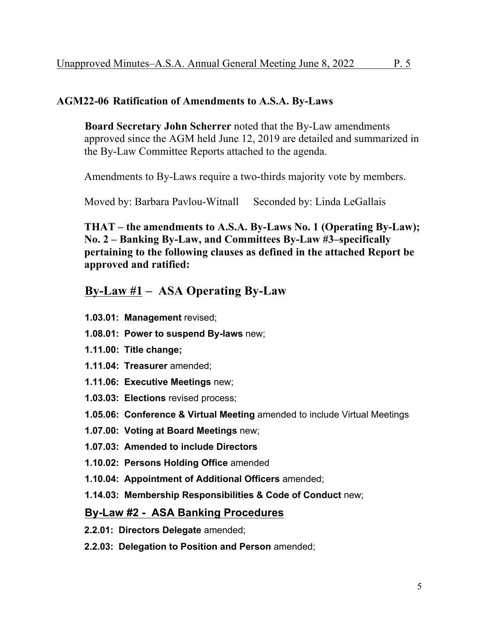#### **AGM22-06 Ratification of Amendments to A.S.A. By-Laws**

**Board Secretary John Scherrer** noted that the By-Law amendments approved since the AGM held June 12, 2019 are detailed and summarized in the By-Law Committee Reports attached to the agenda.

Amendments to By-Laws require a two-thirds majority vote by members.

Moved by: Barbara Pavlou-Witnall Seconded by: Linda LeGallais

**THAT – the amendments to A.S.A. By-Laws No. 1 (Operating By-Law); No. 2 – Banking By-Law, and Committees By-Law #3–specifically pertaining to the following clauses as defined in the attached Report be approved and ratified:** 

# **By-Law #1 – ASA Operating By-Law**

- **1.03.01: Management** revised;
- **1.08.01: Power to suspend By-laws** new;
- **1.11.00: Title change;**
- **1.11.04: Treasurer** amended;
- **1.11.06: Executive Meetings** new;
- **1.03.03: Elections** revised process;

**1.05.06: Conference & Virtual Meeting** amended to include Virtual Meetings

- **1.07.00: Voting at Board Meetings** new;
- **1.07.03: Amended to include Directors**
- **1.10.02: Persons Holding Office** amended
- **1.10.04: Appointment of Additional Officers** amended;
- **1.14.03: Membership Responsibilities & Code of Conduct** new;

### **By-Law #2 - ASA Banking Procedures**

- **2.2.01: Directors Delegate** amended;
- **2.2.03: Delegation to Position and Person** amended;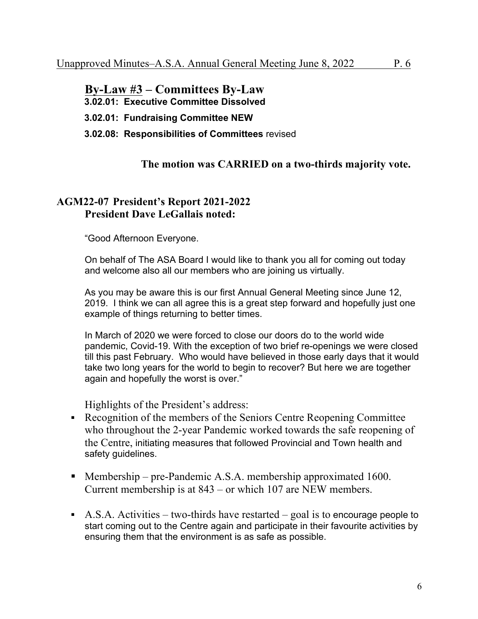**By-Law #3 – Committees By-Law 3.02.01: Executive Committee Dissolved 3.02.01: Fundraising Committee NEW 3.02.08: Responsibilities of Committees** revised

# **The motion was CARRIED on a two-thirds majority vote.**

## **AGM22-07 President's Report 2021-2022 President Dave LeGallais noted:**

"Good Afternoon Everyone.

On behalf of The ASA Board I would like to thank you all for coming out today and welcome also all our members who are joining us virtually.

As you may be aware this is our first Annual General Meeting since June 12, 2019. I think we can all agree this is a great step forward and hopefully just one example of things returning to better times.

In March of 2020 we were forced to close our doors do to the world wide pandemic, Covid-19. With the exception of two brief re-openings we were closed till this past February. Who would have believed in those early days that it would take two long years for the world to begin to recover? But here we are together again and hopefully the worst is over."

Highlights of the President's address:

- § Recognition of the members of the Seniors Centre Reopening Committee who throughout the 2-year Pandemic worked towards the safe reopening of the Centre, initiating measures that followed Provincial and Town health and safety guidelines.
- Membership pre-Pandemic A.S.A. membership approximated 1600. Current membership is at 843 – or which 107 are NEW members.
- $\blacktriangleright$  A.S.A. Activities two-thirds have restarted goal is to encourage people to start coming out to the Centre again and participate in their favourite activities by ensuring them that the environment is as safe as possible.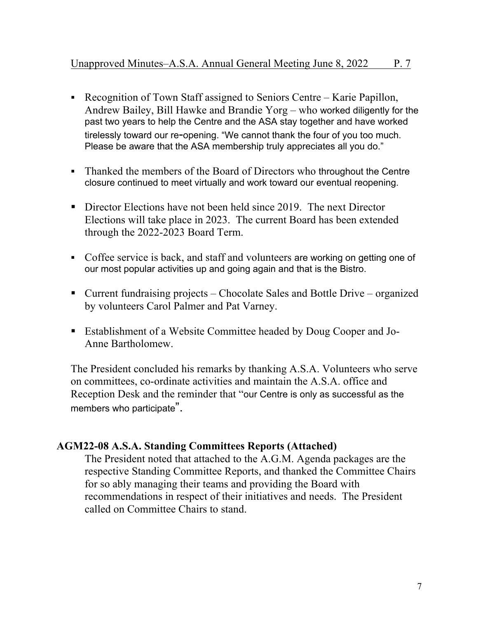- Recognition of Town Staff assigned to Seniors Centre Karie Papillon, Andrew Bailey, Bill Hawke and Brandie Yorg – who worked diligently for the past two years to help the Centre and the ASA stay together and have worked tirelessly toward our re-opening. "We cannot thank the four of you too much. Please be aware that the ASA membership truly appreciates all you do."
- Thanked the members of the Board of Directors who throughout the Centre closure continued to meet virtually and work toward our eventual reopening.
- Director Elections have not been held since 2019. The next Director Elections will take place in 2023. The current Board has been extended through the 2022-2023 Board Term.
- Coffee service is back, and staff and volunteers are working on getting one of our most popular activities up and going again and that is the Bistro.
- Current fundraising projects Chocolate Sales and Bottle Drive organized by volunteers Carol Palmer and Pat Varney.
- Establishment of a Website Committee headed by Doug Cooper and Jo-Anne Bartholomew.

The President concluded his remarks by thanking A.S.A. Volunteers who serve on committees, co-ordinate activities and maintain the A.S.A. office and Reception Desk and the reminder that "our Centre is only as successful as the members who participate".

# **AGM22-08 A.S.A. Standing Committees Reports (Attached)**

The President noted that attached to the A.G.M. Agenda packages are the respective Standing Committee Reports, and thanked the Committee Chairs for so ably managing their teams and providing the Board with recommendations in respect of their initiatives and needs. The President called on Committee Chairs to stand.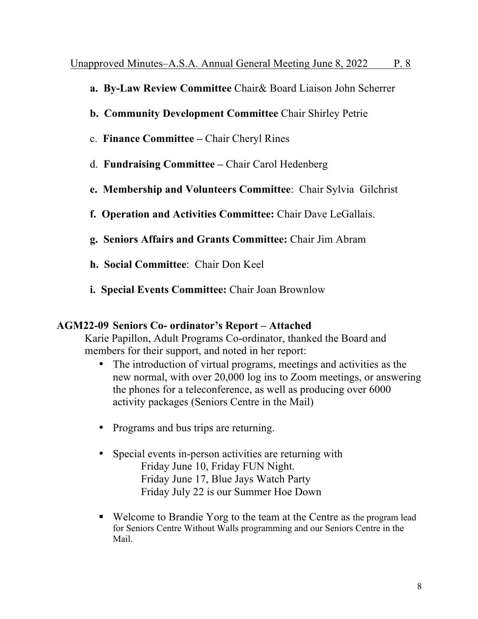- **a. By-Law Review Committee** Chair& Board Liaison John Scherrer
- **b. Community Development Committee** Chair Shirley Petrie
- c. **Finance Committee –** Chair Cheryl Rines
- d. **Fundraising Committee –** Chair Carol Hedenberg
- **e. Membership and Volunteers Committee**: Chair Sylvia Gilchrist
- **f. Operation and Activities Committee:** Chair Dave LeGallais.
- **g. Seniors Affairs and Grants Committee:** Chair Jim Abram
- **h. Social Committee**: Chair Don Keel
- **i. Special Events Committee:** Chair Joan Brownlow

# **AGM22-09 Seniors Co- ordinator's Report – Attached**

Karie Papillon, Adult Programs Co-ordinator, thanked the Board and members for their support, and noted in her report:

- The introduction of virtual programs, meetings and activities as the new normal, with over 20,000 log ins to Zoom meetings, or answering the phones for a teleconference, as well as producing over 6000 activity packages (Seniors Centre in the Mail)
- Programs and bus trips are returning.
- Special events in-person activities are returning with Friday June 10, Friday FUN Night. Friday June 17, Blue Jays Watch Party Friday July 22 is our Summer Hoe Down
- Welcome to Brandie Yorg to the team at the Centre as the program lead for Seniors Centre Without Walls programming and our Seniors Centre in the Mail.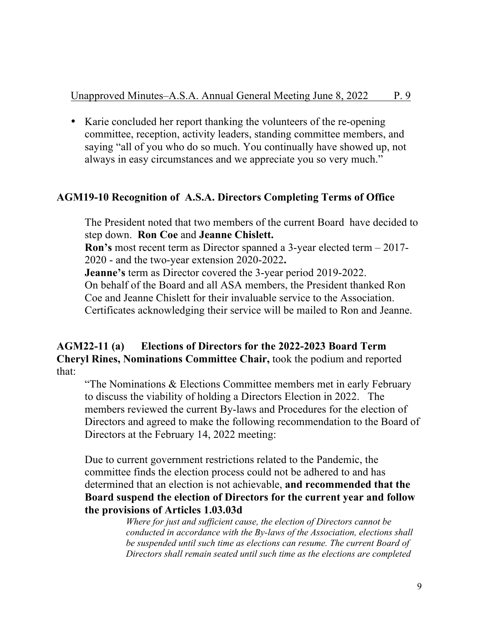• Karie concluded her report thanking the volunteers of the re-opening committee, reception, activity leaders, standing committee members, and saying "all of you who do so much. You continually have showed up, not always in easy circumstances and we appreciate you so very much."

# **AGM19-10 Recognition of A.S.A. Directors Completing Terms of Office**

The President noted that two members of the current Board have decided to step down. **Ron Coe** and **Jeanne Chislett. Ron's** most recent term as Director spanned a 3-year elected term – 2017- 2020 - and the two-year extension 2020-2022**. Jeanne's** term as Director covered the 3-year period 2019-2022. On behalf of the Board and all ASA members, the President thanked Ron Coe and Jeanne Chislett for their invaluable service to the Association. Certificates acknowledging their service will be mailed to Ron and Jeanne.

### **AGM22-11 (a) Elections of Directors for the 2022-2023 Board Term Cheryl Rines, Nominations Committee Chair,** took the podium and reported that:

"The Nominations & Elections Committee members met in early February to discuss the viability of holding a Directors Election in 2022. The members reviewed the current By-laws and Procedures for the election of Directors and agreed to make the following recommendation to the Board of Directors at the February 14, 2022 meeting:

Due to current government restrictions related to the Pandemic, the committee finds the election process could not be adhered to and has determined that an election is not achievable, **and recommended that the Board suspend the election of Directors for the current year and follow the provisions of Articles 1.03.03d** 

> *Where for just and sufficient cause, the election of Directors cannot be conducted in accordance with the By-laws of the Association, elections shall be suspended until such time as elections can resume. The current Board of Directors shall remain seated until such time as the elections are completed*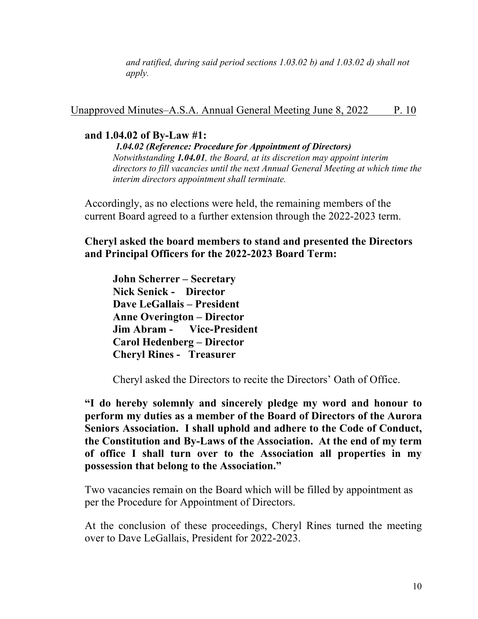*and ratified, during said period sections 1.03.02 b) and 1.03.02 d) shall not apply.*

Unapproved Minutes–A.S.A. Annual General Meeting June 8, 2022 P. 10

## **and 1.04.02 of By-Law #1:**

*1.04.02 (Reference: Procedure for Appointment of Directors) Notwithstanding 1.04.01, the Board, at its discretion may appoint interim directors to fill vacancies until the next Annual General Meeting at which time the interim directors appointment shall terminate.*

Accordingly, as no elections were held, the remaining members of the current Board agreed to a further extension through the 2022-2023 term.

**Cheryl asked the board members to stand and presented the Directors and Principal Officers for the 2022-2023 Board Term:**

**John Scherrer – Secretary Nick Senick - Director Dave LeGallais – President Anne Overington – Director Jim Abram - Vice-President Carol Hedenberg – Director Cheryl Rines - Treasurer**

Cheryl asked the Directors to recite the Directors' Oath of Office.

**"I do hereby solemnly and sincerely pledge my word and honour to perform my duties as a member of the Board of Directors of the Aurora Seniors Association. I shall uphold and adhere to the Code of Conduct, the Constitution and By-Laws of the Association. At the end of my term of office I shall turn over to the Association all properties in my possession that belong to the Association."**

Two vacancies remain on the Board which will be filled by appointment as per the Procedure for Appointment of Directors.

At the conclusion of these proceedings, Cheryl Rines turned the meeting over to Dave LeGallais, President for 2022-2023.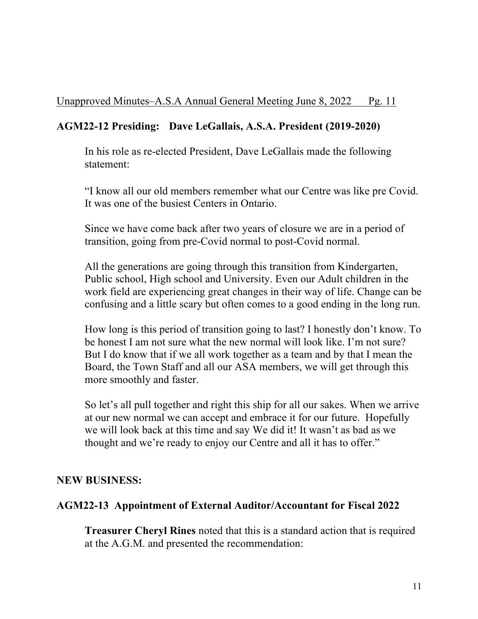# **AGM22-12 Presiding: Dave LeGallais, A.S.A. President (2019-2020)**

In his role as re-elected President, Dave LeGallais made the following statement:

"I know all our old members remember what our Centre was like pre Covid. It was one of the busiest Centers in Ontario.

Since we have come back after two years of closure we are in a period of transition, going from pre-Covid normal to post-Covid normal.

All the generations are going through this transition from Kindergarten, Public school, High school and University. Even our Adult children in the work field are experiencing great changes in their way of life. Change can be confusing and a little scary but often comes to a good ending in the long run.

How long is this period of transition going to last? I honestly don't know. To be honest I am not sure what the new normal will look like. I'm not sure? But I do know that if we all work together as a team and by that I mean the Board, the Town Staff and all our ASA members, we will get through this more smoothly and faster.

So let's all pull together and right this ship for all our sakes. When we arrive at our new normal we can accept and embrace it for our future. Hopefully we will look back at this time and say We did it! It wasn't as bad as we thought and we're ready to enjoy our Centre and all it has to offer."

### **NEW BUSINESS:**

### **AGM22-13 Appointment of External Auditor/Accountant for Fiscal 2022**

**Treasurer Cheryl Rines** noted that this is a standard action that is required at the A.G.M. and presented the recommendation: